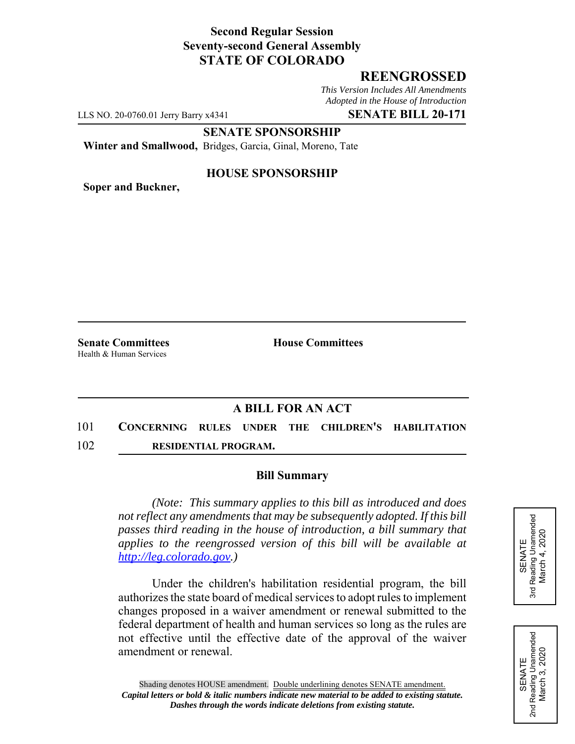## **Second Regular Session Seventy-second General Assembly STATE OF COLORADO**

## **REENGROSSED**

*This Version Includes All Amendments Adopted in the House of Introduction*

LLS NO. 20-0760.01 Jerry Barry x4341 **SENATE BILL 20-171**

**SENATE SPONSORSHIP**

**Winter and Smallwood,** Bridges, Garcia, Ginal, Moreno, Tate

### **HOUSE SPONSORSHIP**

**Soper and Buckner,**

**Senate Committees House Committees** Health & Human Services

# **A BILL FOR AN ACT**

- 101 **CONCERNING RULES UNDER THE CHILDREN'S HABILITATION**
- 102 **RESIDENTIAL PROGRAM.**

### **Bill Summary**

*(Note: This summary applies to this bill as introduced and does not reflect any amendments that may be subsequently adopted. If this bill passes third reading in the house of introduction, a bill summary that applies to the reengrossed version of this bill will be available at http://leg.colorado.gov.)*

Under the children's habilitation residential program, the bill authorizes the state board of medical services to adopt rules to implement changes proposed in a waiver amendment or renewal submitted to the federal department of health and human services so long as the rules are not effective until the effective date of the approval of the waiver amendment or renewal.